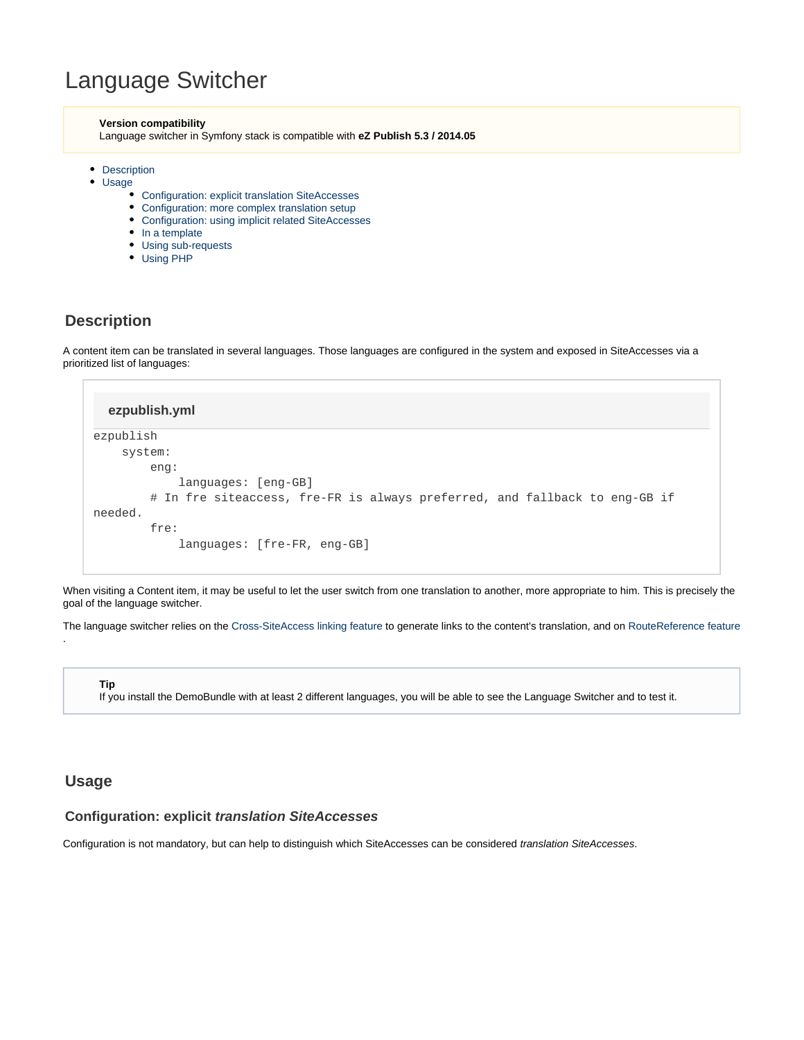# Language Switcher

#### **Version compatibility**

Language switcher in Symfony stack is compatible with **eZ Publish 5.3 / 2014.05**

- [Description](#page-0-0)
- [Usage](#page-0-1)
	- [Configuration: explicit translation SiteAccesses](#page-0-2)
	- [Configuration: more complex translation setup](#page-1-0)
	- [Configuration: using implicit related SiteAccesses](#page-2-0)
	- $\bullet$  [In a template](#page-3-0)
	- [Using sub-requests](#page-3-1)
	- [Using PHP](#page-4-0)

## <span id="page-0-0"></span>**Description**

A content item can be translated in several languages. Those languages are configured in the system and exposed in SiteAccesses via a prioritized list of languages:

| ezpublish.yml                                                              |
|----------------------------------------------------------------------------|
| ezpublish                                                                  |
| system:                                                                    |
| eng:                                                                       |
| $language: [eng-GB]$                                                       |
| # In fre siteaccess, fre-FR is always preferred, and fallback to eng-GB if |
| needed.                                                                    |
| fre:                                                                       |
| languages: [fre-FR, eng-GB]                                                |

When visiting a Content item, it may be useful to let the user switch from one translation to another, more appropriate to him. This is precisely the goal of the language switcher.

The language switcher relies on the [Cross-SiteAccess linking feature](https://doc.ez.no/display/EZP/Cross+SiteAccess+links) to generate links to the content's translation, and on [RouteReference feature](https://doc.ez.no/display/EZP/RouteReference)

**Tip**

If you install the DemoBundle with at least 2 different languages, you will be able to see the Language Switcher and to test it.

# <span id="page-0-1"></span>**Usage**

.

## <span id="page-0-2"></span>**Configuration: explicit translation SiteAccesses**

Configuration is not mandatory, but can help to distinguish which SiteAccesses can be considered translation SiteAccesses.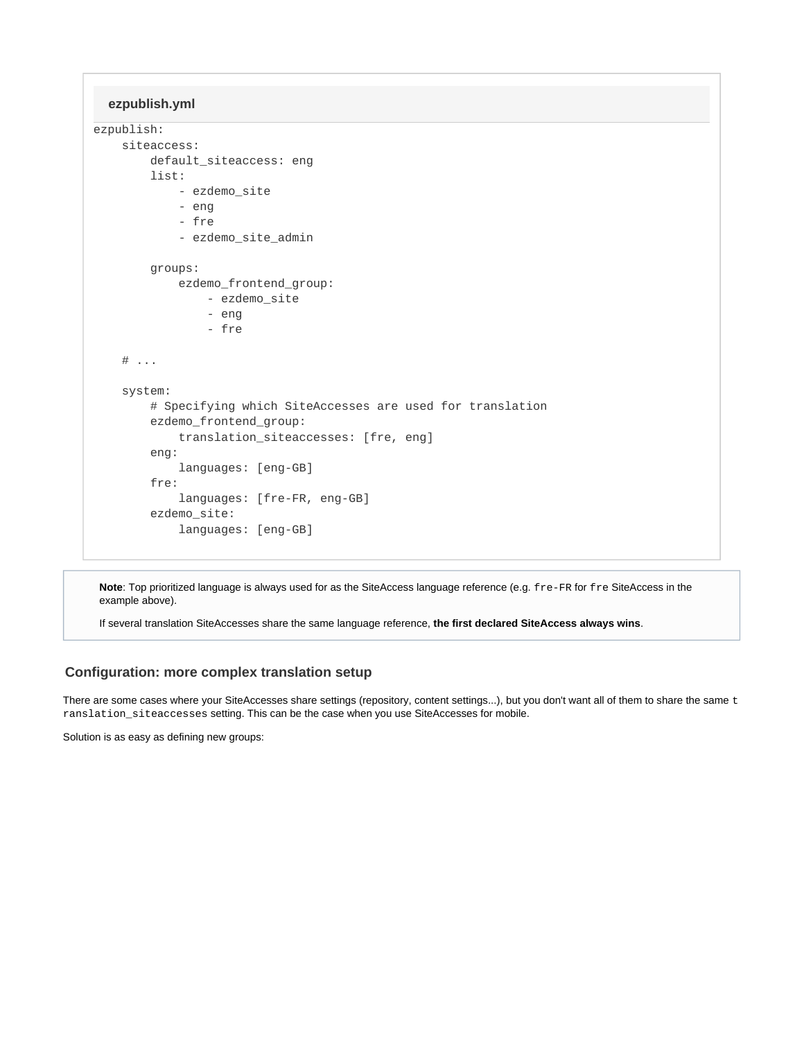**ezpublish.yml**

```
ezpublish:
     siteaccess:
         default_siteaccess: eng
         list:
             - ezdemo_site
             - eng
              - fre
             - ezdemo_site_admin
         groups:
             ezdemo_frontend_group:
                  - ezdemo_site
                  - eng
                 - fre
    \# ...
     system:
         # Specifying which SiteAccesses are used for translation
         ezdemo_frontend_group:
              translation_siteaccesses: [fre, eng]
         eng:
             languages: [eng-GB]
         fre:
              languages: [fre-FR, eng-GB]
         ezdemo_site:
             languages: [eng-GB]
```
**Note**: Top prioritized language is always used for as the SiteAccess language reference (e.g. fre-FR for fre SiteAccess in the example above).

If several translation SiteAccesses share the same language reference, **the first declared SiteAccess always wins**.

## <span id="page-1-0"></span>**Configuration: more complex translation setup**

There are some cases where your SiteAccesses share settings (repository, content settings...), but you don't want all of them to share the same t ranslation\_siteaccesses setting. This can be the case when you use SiteAccesses for mobile.

Solution is as easy as defining new groups: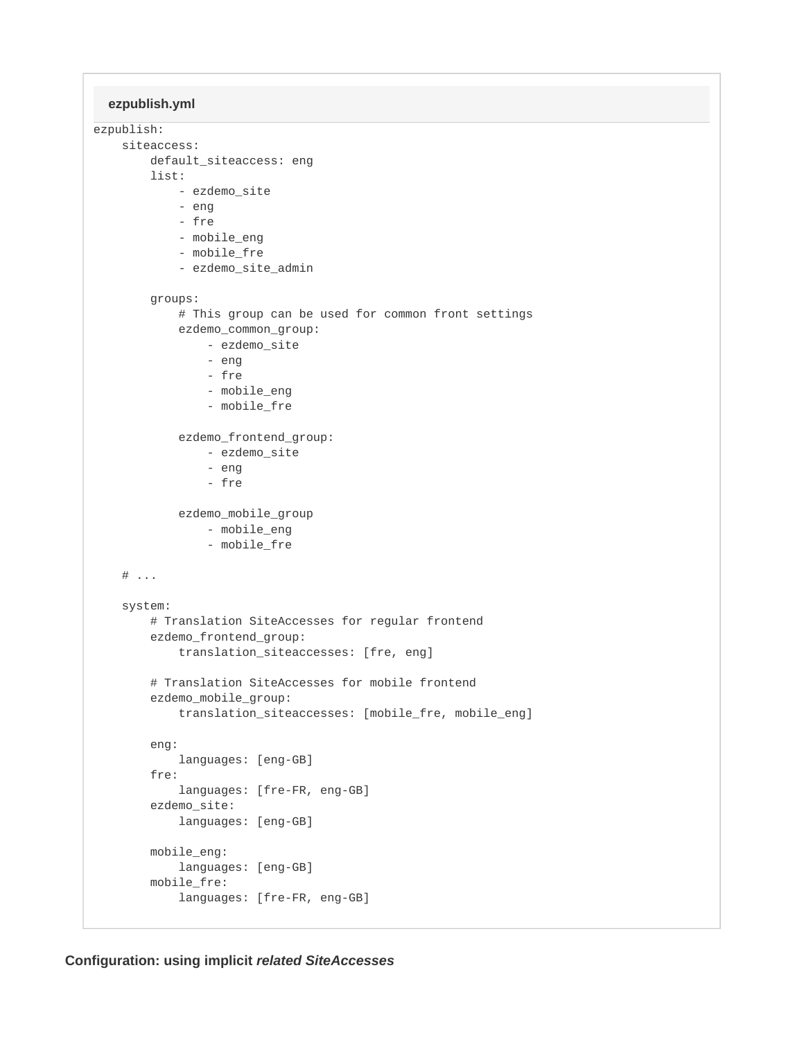```
ezpublish.yml
```

```
ezpublish:
     siteaccess:
         default_siteaccess: eng
         list:
             - ezdemo_site
             - eng
             - fre
             - mobile_eng
             - mobile_fre
             - ezdemo_site_admin
         groups:
             # This group can be used for common front settings
             ezdemo_common_group:
                 - ezdemo_site
                 - eng
                 - fre
                  - mobile_eng
                  - mobile_fre
             ezdemo_frontend_group:
                 - ezdemo_site
                  - eng
                  - fre
             ezdemo_mobile_group
                 - mobile_eng
                 - mobile_fre
    # ...
     system:
         # Translation SiteAccesses for regular frontend
         ezdemo_frontend_group:
             translation_siteaccesses: [fre, eng]
         # Translation SiteAccesses for mobile frontend
         ezdemo_mobile_group:
             translation_siteaccesses: [mobile_fre, mobile_eng]
         eng:
             languages: [eng-GB]
         fre:
             languages: [fre-FR, eng-GB]
         ezdemo_site:
             languages: [eng-GB]
         mobile_eng:
             languages: [eng-GB]
         mobile_fre:
             languages: [fre-FR, eng-GB]
```
<span id="page-2-0"></span>**Configuration: using implicit related SiteAccesses**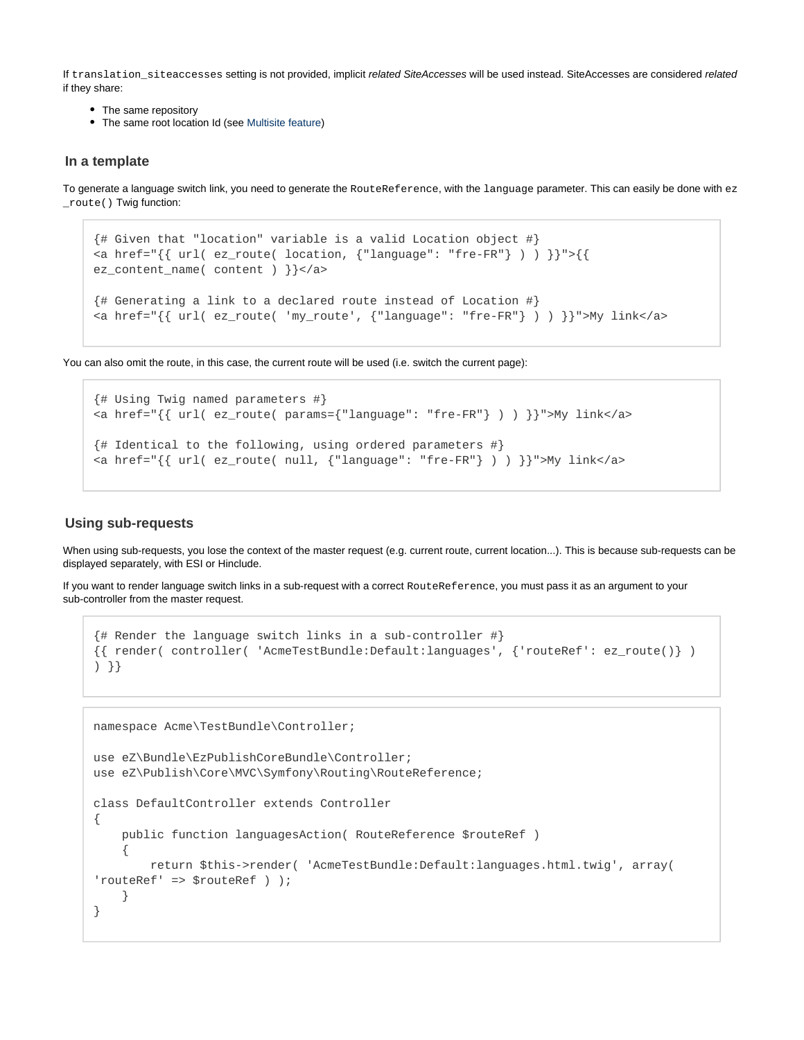If translation siteaccesses setting is not provided, implicit related SiteAccesses will be used instead. SiteAccesses are considered related if they share:

- The same repository
- The same root location Id (see [Multisite feature\)](https://doc.ez.no/display/EZP/Multisite+using+content_root)

## <span id="page-3-0"></span>**In a template**

To generate a language switch link, you need to generate the RouteReference, with the language parameter. This can easily be done with ez \_route() Twig function:

```
{# Given that "location" variable is a valid Location object #}
<a href="\{ \{ \text{url}( \text{ez\_route}( \text{ location}, \{ \text{"language": "free-FR"} \} ) ) \} \}">\{ \}ez_content_name( content ) }}</a>
{# Generating a link to a declared route instead of Location #}
<a href="{{ url( ez_route( 'my_route', {"language": "fre-FR"} ) ) }}">My link</a>
```
You can also omit the route, in this case, the current route will be used (i.e. switch the current page):

```
{# Using Twig named parameters #}
<a href="\{ \{ \text{url}( \text{ez route}( \text{params} = \{ \text{"language": "free-FR"} \} ) ) \} \}">My link</a>
{# Identical to the following, using ordered parameters #}
<a href="\{ \{ url( ez_route( null, { "language": "free-FR"} \} ) ) \}">My link</a>
```
## <span id="page-3-1"></span>**Using sub-requests**

When using sub-requests, you lose the context of the master request (e.g. current route, current location...). This is because sub-requests can be displayed separately, with ESI or Hinclude.

If you want to render language switch links in a sub-request with a correct RouteReference, you must pass it as an argument to your sub-controller from the master request.

```
{# Render the language switch links in a sub-controller #}
{{ render( controller( 'AcmeTestBundle:Default:languages', {'routeRef': ez_route()} )
) }}
```

```
namespace Acme\TestBundle\Controller;
use eZ\Bundle\EzPublishCoreBundle\Controller;
use eZ\Publish\Core\MVC\Symfony\Routing\RouteReference;
class DefaultController extends Controller
{
    public function languagesAction( RouteReference $routeRef )
 {
         return $this->render( 'AcmeTestBundle:Default:languages.html.twig', array(
'routeRef' => $routeRef ) );
     }
}
```